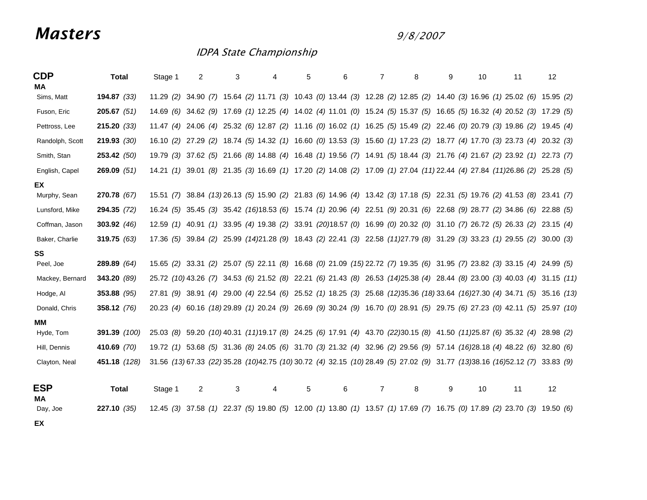## *Masters*

9/8/2007

## IDPA State Championship

| <b>CDP</b><br>МA    | <b>Total</b>        | Stage 1   | 2<br>3    | 4 | 6<br>5                                                                                                                         | 7<br>8              | 9 | 10<br>11 | 12 |
|---------------------|---------------------|-----------|-----------|---|--------------------------------------------------------------------------------------------------------------------------------|---------------------|---|----------|----|
| Sims, Matt          | 194.87(33)          |           |           |   | 11.29 (2) 34.90 (7) 15.64 (2) 11.71 (3) 10.43 (0) 13.44 (3) 12.28 (2) 12.85 (2) 14.40 (3) 16.96 (1) 25.02 (6) 15.95 (2)        |                     |   |          |    |
| Fuson, Eric         | 205.67(51)          | 14.69 (6) |           |   | 34.62 (9) 17.69 (1) 12.25 (4) 14.02 (4) 11.01 (0) 15.24 (5) 15.37 (5) 16.65 (5) 16.32 (4) 20.52 (3) 17.29 (5)                  |                     |   |          |    |
| Pettross, Lee       | 215.20(33)          |           |           |   | 11.47 (4) 24.06 (4) 25.32 (6) 12.87 (2) 11.16 (0) 16.02 (1) 16.25 (5) 15.49 (2) 22.46 (0) 20.79 (3) 19.86 (2) 19.45 (4)        |                     |   |          |    |
| Randolph, Scott     | 219.93(30)          | 16.10(2)  |           |   | 27.29 (2) 18.74 (5) 14.32 (1) 16.60 (0) 13.53 (3) 15.60 (1) 17.23 (2) 18.77 (4) 17.70 (3) 23.73 (4) 20.32 (3)                  |                     |   |          |    |
| Smith, Stan         | 253.42(50)          | 19.79 (3) |           |   | 37.62 (5) 21.66 (8) 14.88 (4) 16.48 (1) 19.56 (7) 14.91 (5) 18.44 (3) 21.76 (4) 21.67 (2) 23.92 (1) 22.73 (7)                  |                     |   |          |    |
| English, Capel      | 269.09(51)          |           |           |   | 14.21 (1) 39.01 (8) 21.35 (3) 16.69 (1) 17.20 (2) 14.08 (2) 17.09 (1) 27.04 (11) 22.44 (4) 27.84 (11) 26.86 (2) 25.28 (5)      |                     |   |          |    |
| EX.<br>Murphy, Sean | 270.78(67)          |           |           |   | 15.51 (7) 38.84 (13) 26.13 (5) 15.90 (2) 21.83 (6) 14.96 (4) 13.42 (3) 17.18 (5) 22.31 (5) 19.76 (2) 41.53 (8) 23.41 (7)       |                     |   |          |    |
| Lunsford, Mike      | 294.35(72)          |           |           |   | 16.24 (5) 35.45 (3) 35.42 (16)18.53 (6) 15.74 (1) 20.96 (4) 22.51 (9) 20.31 (6) 22.68 (9) 28.77 (2) 34.86 (6) 22.88 (5)        |                     |   |          |    |
| Coffman, Jason      | 303.92(46)          | 12.59(1)  |           |   | 40.91 (1) 33.95 (4) 19.38 (2) 33.91 (20)18.57 (0) 16.99 (0) 20.32 (0) 31.10 (7) 26.72 (5) 26.33 (2) 23.15 (4)                  |                     |   |          |    |
| Baker, Charlie      | 319.75 $(63)$       |           |           |   | 17.36 (5) 39.84 (2) 25.99 (14)21.28 (9) 18.43 (2) 22.41 (3) 22.58 (11)27.79 (8) 31.29 (3) 33.23 (1) 29.55 (2) 30.00 (3)        |                     |   |          |    |
| SS<br>Peel, Joe     | 289.89(64)          | 15.65(2)  |           |   | 33.31 (2) 25.07 (5) 22.11 (8) 16.68 (0) 21.09 (15) 22.72 (7) 19.35 (6) 31.95 (7) 23.82 (3) 33.15 (4) 24.99 (5)                 |                     |   |          |    |
| Mackey, Bernard     | 343.20 $(89)$       |           |           |   | 25.72 (10) 43.26 (7) 34.53 (6) 21.52 (8) 22.21 (6) 21.43 (8) 26.53 (14) 25.38 (4) 28.44 (8) 23.00 (3) 40.03 (4) 31.15 (11)     |                     |   |          |    |
| Hodge, Al           | $353.88$ (95)       | 27.81 (9) |           |   | 38.91 (4) 29.00 (4) 22.54 (6) 25.52 (1) 18.25 (3) 25.68 (12)35.36 (18) 33.64 (16) 27.30 (4) 34.71 (5) 35.16 (13)               |                     |   |          |    |
| Donald, Chris       | 358.12(76)          | 20.23 (4) |           |   | 60.16 (18) 29.89 (1) 20.24 (9) 26.69 (9) 30.24 (9) 16.70 (0) 28.91 (5) 29.75 (6) 27.23 (0) 42.11 (5) 25.97 (10)                |                     |   |          |    |
| ΜМ                  |                     |           |           |   |                                                                                                                                |                     |   |          |    |
| Hyde, Tom           | <b>391.39</b> (100) | 25.03 (8) |           |   | 59.20 (10) 40.31 (11) 19.17 (8) 24.25 (6) 17.91 (4) 43.70 (22) 30.15 (8) 41.50 (11) 25.87 (6) 35.32 (4) 28.98 (2)              |                     |   |          |    |
| Hill, Dennis        | 410.69 (70)         |           |           |   | 19.72 (1) 53.68 (5) 31.36 (8) 24.05 (6) 31.70 (3) 21.32 (4) 32.96 (2) 29.56 (9) 57.14 (16)28.18 (4) 48.22 (6) 32.80 (6)        |                     |   |          |    |
| Clayton, Neal       | 451.18 (128)        |           |           |   | 31.56 (13) 67.33 (22) 35.28 (10) 42.75 (10) 30.72 (4) 32.15 (10) 28.49 (5) 27.02 (9) 31.77 (13) 38.16 (16) 52.12 (7) 33.83 (9) |                     |   |          |    |
| <b>ESP</b><br>МA    | <b>Total</b>        | Stage 1   | 3<br>2    | 4 | 5<br>6                                                                                                                         | $\overline{7}$<br>8 | 9 | 10<br>11 | 12 |
| Day, Joe            | 227.10(35)          | 12.45(3)  | 37.58 (1) |   | 22.37 (5) 19.80 (5) 12.00 (1) 13.80 (1) 13.57 (1) 17.69 (7) 16.75 (0) 17.89 (2) 23.70 (3) 19.50 (6)                            |                     |   |          |    |
| EX                  |                     |           |           |   |                                                                                                                                |                     |   |          |    |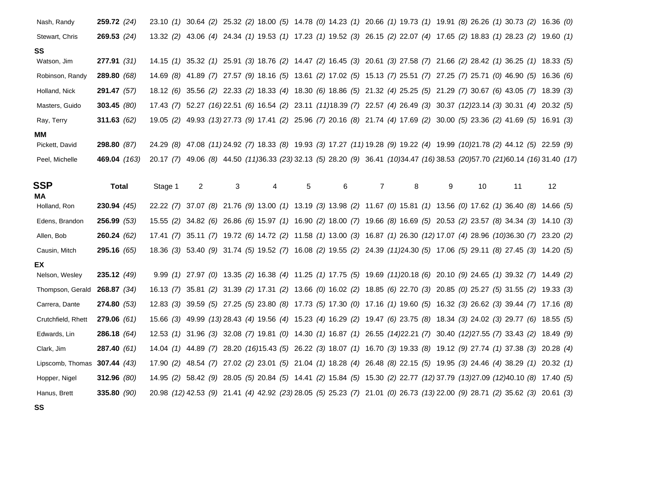| Nash, Randy                    | 259.72(24)    |           |   |   |   |   |   |   | 23.10 (1) 30.64 (2) 25.32 (2) 18.00 (5) 14.78 (0) 14.23 (1) 20.66 (1) 19.73 (1) 19.91 (8) 26.26 (1) 30.73 (2) 16.36 (0)    |   |    |    |    |  |
|--------------------------------|---------------|-----------|---|---|---|---|---|---|----------------------------------------------------------------------------------------------------------------------------|---|----|----|----|--|
| Stewart, Chris                 | 269.53(24)    |           |   |   |   |   |   |   | 13.32 (2) 43.06 (4) 24.34 (1) 19.53 (1) 17.23 (1) 19.52 (3) 26.15 (2) 22.07 (4) 17.65 (2) 18.83 (1) 28.23 (2) 19.60 (1)    |   |    |    |    |  |
| SS                             |               |           |   |   |   |   |   |   |                                                                                                                            |   |    |    |    |  |
| Watson, Jim                    | 277.91(31)    |           |   |   |   |   |   |   | 14.15 (1) 35.32 (1) 25.91 (3) 18.76 (2) 14.47 (2) 16.45 (3) 20.61 (3) 27.58 (7) 21.66 (2) 28.42 (1) 36.25 (1) 18.33 (5)    |   |    |    |    |  |
| Robinson, Randy                | 289.80(68)    |           |   |   |   |   |   |   | 14.69 (8) 41.89 (7) 27.57 (9) 18.16 (5) 13.61 (2) 17.02 (5) 15.13 (7) 25.51 (7) 27.25 (7) 25.71 (0) 46.90 (5) 16.36 (6)    |   |    |    |    |  |
| Holland, Nick                  | 291.47 (57)   | 18.12(6)  |   |   |   |   |   |   | 35.56 (2) 22.33 (2) 18.33 (4) 18.30 (6) 18.86 (5) 21.32 (4) 25.25 (5) 21.29 (7) 30.67 (6) 43.05 (7) 18.39 (3)              |   |    |    |    |  |
| Masters, Guido                 | 303.45 $(80)$ | 17.43(7)  |   |   |   |   |   |   | 52.27 (16) 22.51 (6) 16.54 (2) 23.11 (11) 18.39 (7) 22.57 (4) 26.49 (3) 30.37 (12) 23.14 (3) 30.31 (4) 20.32 (5)           |   |    |    |    |  |
| Ray, Terry                     | 311.63 $(62)$ | 19.05(2)  |   |   |   |   |   |   | 49.93 (13) 27.73 (9) 17.41 (2) 25.96 (7) 20.16 (8) 21.74 (4) 17.69 (2) 30.00 (5) 23.36 (2) 41.69 (5) 16.91 (3)             |   |    |    |    |  |
| ΜМ                             |               |           |   |   |   |   |   |   |                                                                                                                            |   |    |    |    |  |
| Pickett, David                 | 298.80 (87)   |           |   |   |   |   |   |   | 24.29 (8) 47.08 (11) 24.92 (7) 18.33 (8) 19.93 (3) 17.27 (11) 19.28 (9) 19.22 (4) 19.99 (10) 21.78 (2) 44.12 (5) 22.59 (9) |   |    |    |    |  |
| Peel, Michelle                 | 469.04 (163)  | 20.17(7)  |   |   |   |   |   |   | 49.06 (8) 44.50 (11)36.33 (23) 32.13 (5) 28.20 (9) 36.41 (10)34.47 (16) 38.53 (20)57.70 (21)60.14 (16) 31.40 (17)          |   |    |    |    |  |
|                                |               |           |   |   |   |   |   |   |                                                                                                                            |   |    |    |    |  |
| <b>SSP</b><br>MA               | <b>Total</b>  | Stage 1   | 2 | 3 | 4 | 5 | 6 | 7 | 8                                                                                                                          | 9 | 10 | 11 | 12 |  |
| Holland, Ron                   | 230.94(45)    |           |   |   |   |   |   |   | 22.22 (7) 37.07 (8) 21.76 (9) 13.00 (1) 13.19 (3) 13.98 (2) 11.67 (0) 15.81 (1) 13.56 (0) 17.62 (1) 36.40 (8) 14.66 (5)    |   |    |    |    |  |
| Edens, Brandon                 | 256.99(53)    | 15.55(2)  |   |   |   |   |   |   | 34.82 (6) 26.86 (6) 15.97 (1) 16.90 (2) 18.00 (7) 19.66 (8) 16.69 (5) 20.53 (2) 23.57 (8) 34.34 (3) 14.10 (3)              |   |    |    |    |  |
| Allen, Bob                     | 260.24(62)    |           |   |   |   |   |   |   | 17.41 (7) 35.11 (7) 19.72 (6) 14.72 (2) 11.58 (1) 13.00 (3) 16.87 (1) 26.30 (12) 17.07 (4) 28.96 (10)36.30 (7) 23.20 (2)   |   |    |    |    |  |
| Causin, Mitch                  | 295.16(65)    |           |   |   |   |   |   |   | 18.36 (3) 53.40 (9) 31.74 (5) 19.52 (7) 16.08 (2) 19.55 (2) 24.39 (11)24.30 (5) 17.06 (5) 29.11 (8) 27.45 (3) 14.20 (5)    |   |    |    |    |  |
| EX                             |               |           |   |   |   |   |   |   |                                                                                                                            |   |    |    |    |  |
| Nelson, Wesley                 | 235.12(49)    |           |   |   |   |   |   |   | 9.99 (1) 27.97 (0) 13.35 (2) 16.38 (4) 11.25 (1) 17.75 (5) 19.69 (11)20.18 (6) 20.10 (9) 24.65 (1) 39.32 (7) 14.49 (2)     |   |    |    |    |  |
| Thompson, Gerald               | 268.87(34)    |           |   |   |   |   |   |   | 16.13 (7) 35.81 (2) 31.39 (2) 17.31 (2) 13.66 (0) 16.02 (2) 18.85 (6) 22.70 (3) 20.85 (0) 25.27 (5) 31.55 (2) 19.33 (3)    |   |    |    |    |  |
| Carrera, Dante                 | 274.80(53)    |           |   |   |   |   |   |   | 12.83 (3) 39.59 (5) 27.25 (5) 23.80 (8) 17.73 (5) 17.30 (0) 17.16 (1) 19.60 (5) 16.32 (3) 26.62 (3) 39.44 (7) 17.16 (8)    |   |    |    |    |  |
| Crutchfield, Rhett             | 279.06(61)    |           |   |   |   |   |   |   | 15.66 (3) 49.99 (13) 28.43 (4) 19.56 (4) 15.23 (4) 16.29 (2) 19.47 (6) 23.75 (8) 18.34 (3) 24.02 (3) 29.77 (6) 18.55 (5)   |   |    |    |    |  |
| Edwards, Lin                   | 286.18(64)    | 12.53(1)  |   |   |   |   |   |   | 31.96 (3) 32.08 (7) 19.81 (0) 14.30 (1) 16.87 (1) 26.55 (14)22.21 (7) 30.40 (12)27.55 (7) 33.43 (2) 18.49 (9)              |   |    |    |    |  |
| Clark, Jim                     | 287.40(61)    |           |   |   |   |   |   |   | 14.04 (1) 44.89 (7) 28.20 (16)15.43 (5) 26.22 (3) 18.07 (1) 16.70 (3) 19.33 (8) 19.12 (9) 27.74 (1) 37.38 (3) 20.28 (4)    |   |    |    |    |  |
| Lipscomb, Thomas $307.44$ (43) |               | 17.90 (2) |   |   |   |   |   |   | 48.54 (7) 27.02 (2) 23.01 (5) 21.04 (1) 18.28 (4) 26.48 (8) 22.15 (5) 19.95 (3) 24.46 (4) 38.29 (1) 20.32 (1)              |   |    |    |    |  |
| Hopper, Nigel                  | 312.96 (80)   |           |   |   |   |   |   |   | 14.95 (2) 58.42 (9) 28.05 (5) 20.84 (5) 14.41 (2) 15.84 (5) 15.30 (2) 22.77 (12) 37.79 (13) 27.09 (12) 40.10 (8) 17.40 (5) |   |    |    |    |  |
| Hanus, Brett                   | 335.80 $(90)$ |           |   |   |   |   |   |   | 20.98 (12) 42.53 (9) 21.41 (4) 42.92 (23) 28.05 (5) 25.23 (7) 21.01 (0) 26.73 (13) 22.00 (9) 28.71 (2) 35.62 (3) 20.61 (3) |   |    |    |    |  |
| SS                             |               |           |   |   |   |   |   |   |                                                                                                                            |   |    |    |    |  |